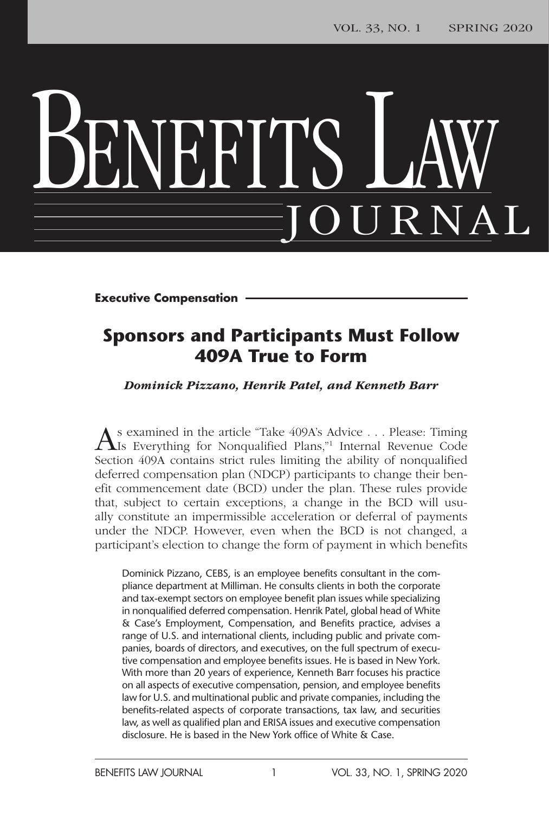# BENEFITS LAW JOURNAL

**Executive Compensation**

### **Sponsors and Participants Must Follow 409A True to Form**

*Dominick Pizzano, Henrik Patel, and Kenneth Barr*

s examined in the article "Take 409A's Advice . . . Please: Timing Is Everything for Nonqualified Plans,"1 Internal Revenue Code Section 409A contains strict rules limiting the ability of nonqualified deferred compensation plan (NDCP) participants to change their benefit commencement date (BCD) under the plan. These rules provide that, subject to certain exceptions, a change in the BCD will usually constitute an impermissible acceleration or deferral of payments under the NDCP. However, even when the BCD is not changed, a participant's election to change the form of payment in which benefits

Dominick Pizzano, CEBS, is an employee benefits consultant in the compliance department at Milliman. He consults clients in both the corporate and tax-exempt sectors on employee benefit plan issues while specializing in nonqualified deferred compensation. Henrik Patel, global head of White & Case's Employment, Compensation, and Benefits practice, advises a range of U.S. and international clients, including public and private companies, boards of directors, and executives, on the full spectrum of executive compensation and employee benefits issues. He is based in New York. With more than 20 years of experience, Kenneth Barr focuses his practice on all aspects of executive compensation, pension, and employee benefits law for U.S. and multinational public and private companies, including the benefits-related aspects of corporate transactions, tax law, and securities law, as well as qualified plan and ERISA issues and executive compensation disclosure. He is based in the New York office of White & Case.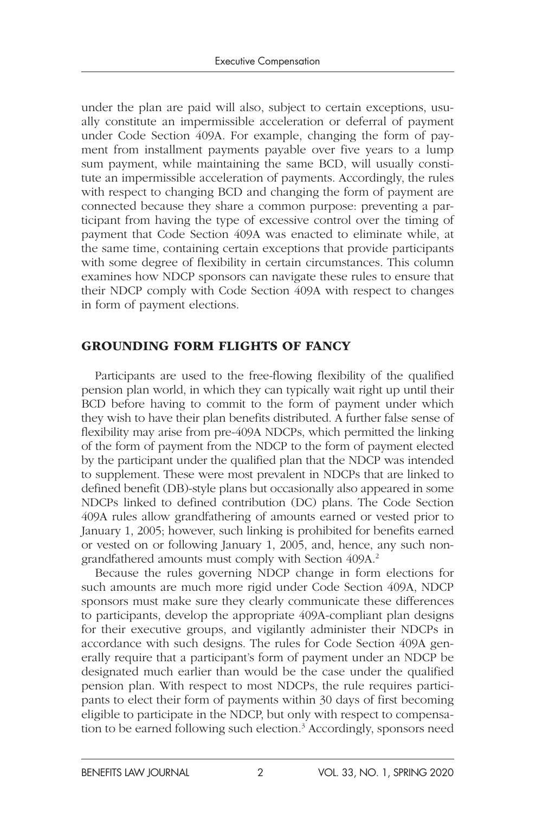under the plan are paid will also, subject to certain exceptions, usually constitute an impermissible acceleration or deferral of payment under Code Section 409A. For example, changing the form of payment from installment payments payable over five years to a lump sum payment, while maintaining the same BCD, will usually constitute an impermissible acceleration of payments. Accordingly, the rules with respect to changing BCD and changing the form of payment are connected because they share a common purpose: preventing a participant from having the type of excessive control over the timing of payment that Code Section 409A was enacted to eliminate while, at the same time, containing certain exceptions that provide participants with some degree of flexibility in certain circumstances. This column examines how NDCP sponsors can navigate these rules to ensure that their NDCP comply with Code Section 409A with respect to changes in form of payment elections.

#### GROUNDING FORM FLIGHTS OF FANCY

Participants are used to the free-flowing flexibility of the qualified pension plan world, in which they can typically wait right up until their BCD before having to commit to the form of payment under which they wish to have their plan benefits distributed. A further false sense of flexibility may arise from pre-409A NDCPs, which permitted the linking of the form of payment from the NDCP to the form of payment elected by the participant under the qualified plan that the NDCP was intended to supplement. These were most prevalent in NDCPs that are linked to defined benefit (DB)-style plans but occasionally also appeared in some NDCPs linked to defined contribution (DC) plans. The Code Section 409A rules allow grandfathering of amounts earned or vested prior to January 1, 2005; however, such linking is prohibited for benefits earned or vested on or following January 1, 2005, and, hence, any such nongrandfathered amounts must comply with Section 409A.2

Because the rules governing NDCP change in form elections for such amounts are much more rigid under Code Section 409A, NDCP sponsors must make sure they clearly communicate these differences to participants, develop the appropriate 409A-compliant plan designs for their executive groups, and vigilantly administer their NDCPs in accordance with such designs. The rules for Code Section 409A generally require that a participant's form of payment under an NDCP be designated much earlier than would be the case under the qualified pension plan. With respect to most NDCPs, the rule requires participants to elect their form of payments within 30 days of first becoming eligible to participate in the NDCP, but only with respect to compensation to be earned following such election.3 Accordingly, sponsors need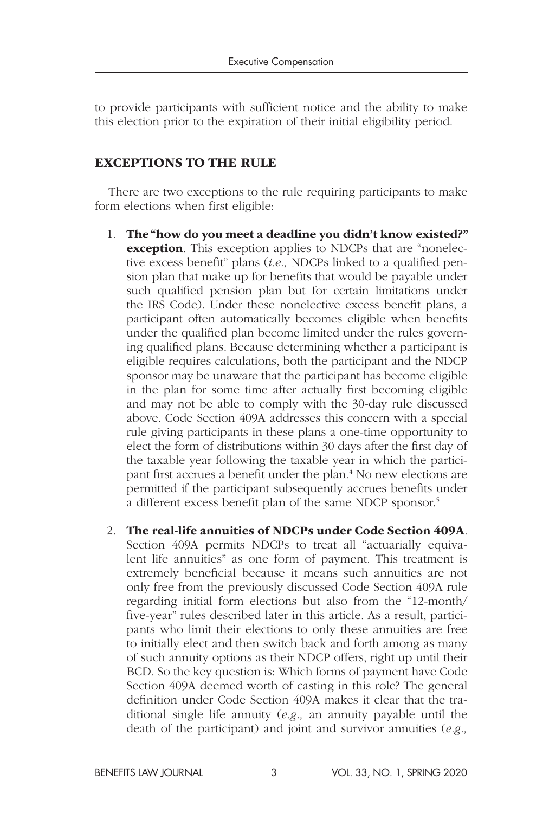to provide participants with sufficient notice and the ability to make this election prior to the expiration of their initial eligibility period.

#### EXCEPTIONS TO THE RULE

There are two exceptions to the rule requiring participants to make form elections when first eligible:

- 1. The "how do you meet a deadline you didn't know existed?" **exception**. This exception applies to NDCPs that are "nonelective excess benefit" plans (*i.e.,* NDCPs linked to a qualified pension plan that make up for benefits that would be payable under such qualified pension plan but for certain limitations under the IRS Code). Under these nonelective excess benefit plans, a participant often automatically becomes eligible when benefits under the qualified plan become limited under the rules governing qualified plans. Because determining whether a participant is eligible requires calculations, both the participant and the NDCP sponsor may be unaware that the participant has become eligible in the plan for some time after actually first becoming eligible and may not be able to comply with the 30-day rule discussed above. Code Section 409A addresses this concern with a special rule giving participants in these plans a one-time opportunity to elect the form of distributions within 30 days after the first day of the taxable year following the taxable year in which the participant first accrues a benefit under the plan.4 No new elections are permitted if the participant subsequently accrues benefits under a different excess benefit plan of the same NDCP sponsor.5
- 2. The real-life annuities of NDCPs under Code Section 409A. Section 409A permits NDCPs to treat all "actuarially equivalent life annuities" as one form of payment. This treatment is extremely beneficial because it means such annuities are not only free from the previously discussed Code Section 409A rule regarding initial form elections but also from the "12-month/ five-year" rules described later in this article. As a result, participants who limit their elections to only these annuities are free to initially elect and then switch back and forth among as many of such annuity options as their NDCP offers, right up until their BCD. So the key question is: Which forms of payment have Code Section 409A deemed worth of casting in this role? The general definition under Code Section 409A makes it clear that the traditional single life annuity (*e.g.,* an annuity payable until the death of the participant) and joint and survivor annuities (*e.g.,*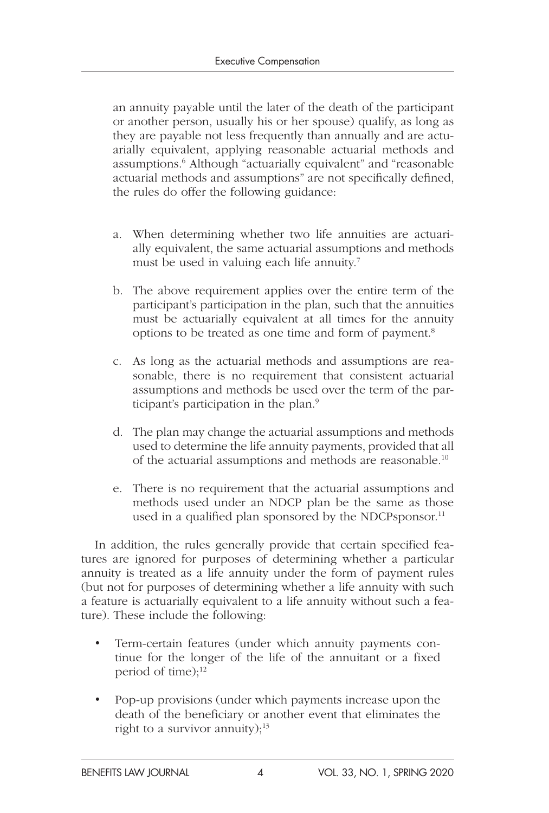an annuity payable until the later of the death of the participant or another person, usually his or her spouse) qualify, as long as they are payable not less frequently than annually and are actuarially equivalent, applying reasonable actuarial methods and assumptions.6 Although "actuarially equivalent" and "reasonable actuarial methods and assumptions" are not specifically defined, the rules do offer the following guidance:

- a. When determining whether two life annuities are actuarially equivalent, the same actuarial assumptions and methods must be used in valuing each life annuity.<sup>7</sup>
- b. The above requirement applies over the entire term of the participant's participation in the plan, such that the annuities must be actuarially equivalent at all times for the annuity options to be treated as one time and form of payment.8
- c. As long as the actuarial methods and assumptions are reasonable, there is no requirement that consistent actuarial assumptions and methods be used over the term of the participant's participation in the plan.<sup>9</sup>
- d. The plan may change the actuarial assumptions and methods used to determine the life annuity payments, provided that all of the actuarial assumptions and methods are reasonable.10
- e. There is no requirement that the actuarial assumptions and methods used under an NDCP plan be the same as those used in a qualified plan sponsored by the NDCPsponsor.<sup>11</sup>

In addition, the rules generally provide that certain specified features are ignored for purposes of determining whether a particular annuity is treated as a life annuity under the form of payment rules (but not for purposes of determining whether a life annuity with such a feature is actuarially equivalent to a life annuity without such a feature). These include the following:

- Term-certain features (under which annuity payments continue for the longer of the life of the annuitant or a fixed period of time); $^{12}$
- Pop-up provisions (under which payments increase upon the death of the beneficiary or another event that eliminates the right to a survivor annuity); $13$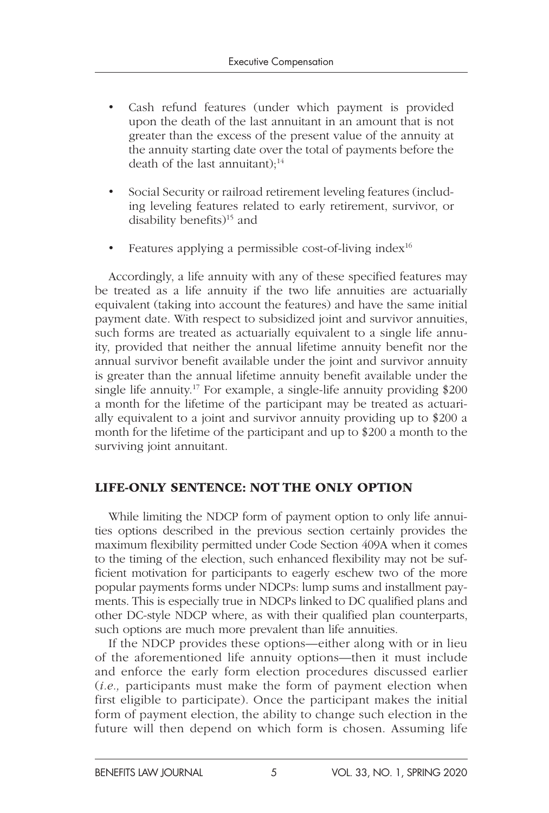- Cash refund features (under which payment is provided upon the death of the last annuitant in an amount that is not greater than the excess of the present value of the annuity at the annuity starting date over the total of payments before the death of the last annuitant); $^{14}$
- Social Security or railroad retirement leveling features (including leveling features related to early retirement, survivor, or disability benefits)<sup>15</sup> and
- Features applying a permissible cost-of-living index $16$

Accordingly, a life annuity with any of these specified features may be treated as a life annuity if the two life annuities are actuarially equivalent (taking into account the features) and have the same initial payment date. With respect to subsidized joint and survivor annuities, such forms are treated as actuarially equivalent to a single life annuity, provided that neither the annual lifetime annuity benefit nor the annual survivor benefit available under the joint and survivor annuity is greater than the annual lifetime annuity benefit available under the single life annuity.<sup>17</sup> For example, a single-life annuity providing \$200 a month for the lifetime of the participant may be treated as actuarially equivalent to a joint and survivor annuity providing up to \$200 a month for the lifetime of the participant and up to \$200 a month to the surviving joint annuitant.

#### LIFE-ONLY SENTENCE: NOT THE ONLY OPTION

While limiting the NDCP form of payment option to only life annuities options described in the previous section certainly provides the maximum flexibility permitted under Code Section 409A when it comes to the timing of the election, such enhanced flexibility may not be sufficient motivation for participants to eagerly eschew two of the more popular payments forms under NDCPs: lump sums and installment payments. This is especially true in NDCPs linked to DC qualified plans and other DC-style NDCP where, as with their qualified plan counterparts, such options are much more prevalent than life annuities.

If the NDCP provides these options—either along with or in lieu of the aforementioned life annuity options—then it must include and enforce the early form election procedures discussed earlier (*i.e.,* participants must make the form of payment election when first eligible to participate). Once the participant makes the initial form of payment election, the ability to change such election in the future will then depend on which form is chosen. Assuming life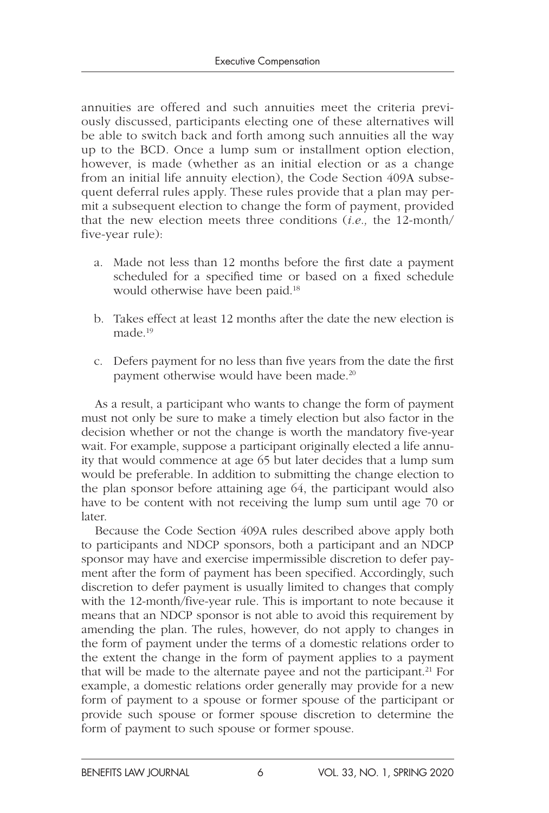annuities are offered and such annuities meet the criteria previously discussed, participants electing one of these alternatives will be able to switch back and forth among such annuities all the way up to the BCD. Once a lump sum or installment option election, however, is made (whether as an initial election or as a change from an initial life annuity election), the Code Section 409A subsequent deferral rules apply. These rules provide that a plan may permit a subsequent election to change the form of payment, provided that the new election meets three conditions (*i.e.,* the 12-month/ five-year rule):

- a. Made not less than 12 months before the first date a payment scheduled for a specified time or based on a fixed schedule would otherwise have been paid.<sup>18</sup>
- b. Takes effect at least 12 months after the date the new election is made.19
- c. Defers payment for no less than five years from the date the first payment otherwise would have been made.<sup>20</sup>

As a result, a participant who wants to change the form of payment must not only be sure to make a timely election but also factor in the decision whether or not the change is worth the mandatory five-year wait. For example, suppose a participant originally elected a life annuity that would commence at age 65 but later decides that a lump sum would be preferable. In addition to submitting the change election to the plan sponsor before attaining age 64, the participant would also have to be content with not receiving the lump sum until age 70 or later.

Because the Code Section 409A rules described above apply both to participants and NDCP sponsors, both a participant and an NDCP sponsor may have and exercise impermissible discretion to defer payment after the form of payment has been specified. Accordingly, such discretion to defer payment is usually limited to changes that comply with the 12-month/five-year rule. This is important to note because it means that an NDCP sponsor is not able to avoid this requirement by amending the plan. The rules, however, do not apply to changes in the form of payment under the terms of a domestic relations order to the extent the change in the form of payment applies to a payment that will be made to the alternate payee and not the participant.<sup>21</sup> For example, a domestic relations order generally may provide for a new form of payment to a spouse or former spouse of the participant or provide such spouse or former spouse discretion to determine the form of payment to such spouse or former spouse.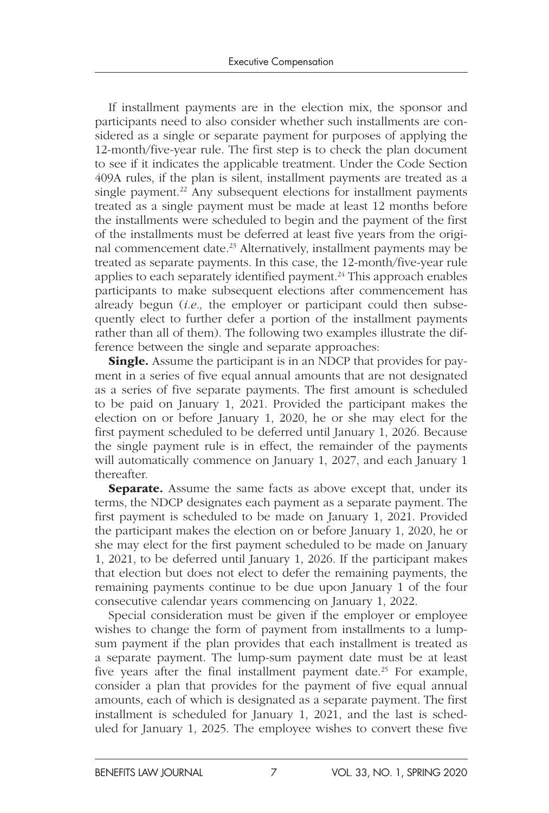If installment payments are in the election mix, the sponsor and participants need to also consider whether such installments are considered as a single or separate payment for purposes of applying the 12-month/five-year rule. The first step is to check the plan document to see if it indicates the applicable treatment. Under the Code Section 409A rules, if the plan is silent, installment payments are treated as a single payment.<sup>22</sup> Any subsequent elections for installment payments treated as a single payment must be made at least 12 months before the installments were scheduled to begin and the payment of the first of the installments must be deferred at least five years from the original commencement date.<sup>23</sup> Alternatively, installment payments may be treated as separate payments. In this case, the 12-month/five-year rule applies to each separately identified payment.<sup>24</sup> This approach enables participants to make subsequent elections after commencement has already begun (*i.e.,* the employer or participant could then subsequently elect to further defer a portion of the installment payments rather than all of them). The following two examples illustrate the difference between the single and separate approaches:

**Single.** Assume the participant is in an NDCP that provides for payment in a series of five equal annual amounts that are not designated as a series of five separate payments. The first amount is scheduled to be paid on January 1, 2021. Provided the participant makes the election on or before January 1, 2020, he or she may elect for the first payment scheduled to be deferred until January 1, 2026. Because the single payment rule is in effect, the remainder of the payments will automatically commence on January 1, 2027, and each January 1 thereafter.

Separate. Assume the same facts as above except that, under its terms, the NDCP designates each payment as a separate payment. The first payment is scheduled to be made on January 1, 2021. Provided the participant makes the election on or before January 1, 2020, he or she may elect for the first payment scheduled to be made on January 1, 2021, to be deferred until January 1, 2026. If the participant makes that election but does not elect to defer the remaining payments, the remaining payments continue to be due upon January 1 of the four consecutive calendar years commencing on January 1, 2022.

Special consideration must be given if the employer or employee wishes to change the form of payment from installments to a lumpsum payment if the plan provides that each installment is treated as a separate payment. The lump-sum payment date must be at least five years after the final installment payment date.<sup>25</sup> For example, consider a plan that provides for the payment of five equal annual amounts, each of which is designated as a separate payment. The first installment is scheduled for January 1, 2021, and the last is scheduled for January 1, 2025. The employee wishes to convert these five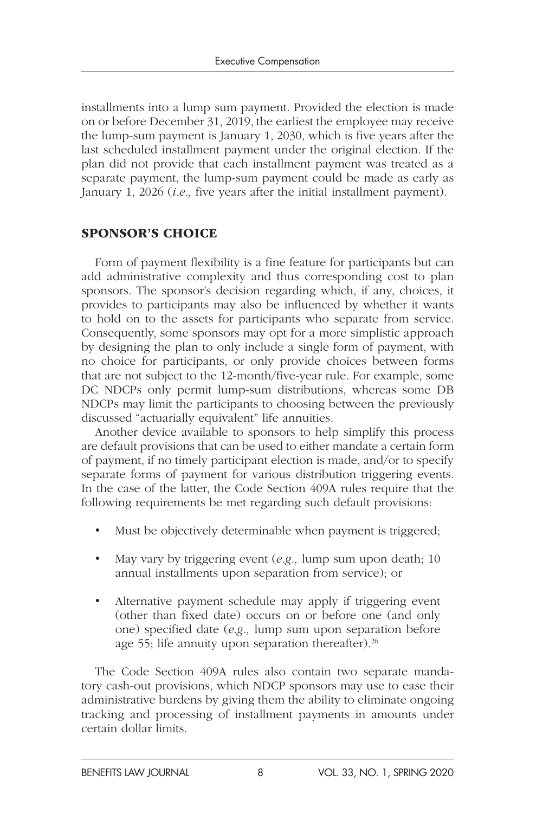installments into a lump sum payment. Provided the election is made on or before December 31, 2019, the earliest the employee may receive the lump-sum payment is January 1, 2030, which is five years after the last scheduled installment payment under the original election. If the plan did not provide that each installment payment was treated as a separate payment, the lump-sum payment could be made as early as January 1, 2026 (*i.e.,* five years after the initial installment payment).

#### SPONSOR'S CHOICE

Form of payment flexibility is a fine feature for participants but can add administrative complexity and thus corresponding cost to plan sponsors. The sponsor's decision regarding which, if any, choices, it provides to participants may also be influenced by whether it wants to hold on to the assets for participants who separate from service. Consequently, some sponsors may opt for a more simplistic approach by designing the plan to only include a single form of payment, with no choice for participants, or only provide choices between forms that are not subject to the 12-month/five-year rule. For example, some DC NDCPs only permit lump-sum distributions, whereas some DB NDCPs may limit the participants to choosing between the previously discussed "actuarially equivalent" life annuities.

Another device available to sponsors to help simplify this process are default provisions that can be used to either mandate a certain form of payment, if no timely participant election is made, and/or to specify separate forms of payment for various distribution triggering events. In the case of the latter, the Code Section 409A rules require that the following requirements be met regarding such default provisions:

- Must be objectively determinable when payment is triggered;
- May vary by triggering event (*e.g.,* lump sum upon death; 10 annual installments upon separation from service); or
- Alternative payment schedule may apply if triggering event (other than fixed date) occurs on or before one (and only one) specified date (*e.g.,* lump sum upon separation before age 55; life annuity upon separation thereafter).<sup>26</sup>

The Code Section 409A rules also contain two separate mandatory cash-out provisions, which NDCP sponsors may use to ease their administrative burdens by giving them the ability to eliminate ongoing tracking and processing of installment payments in amounts under certain dollar limits.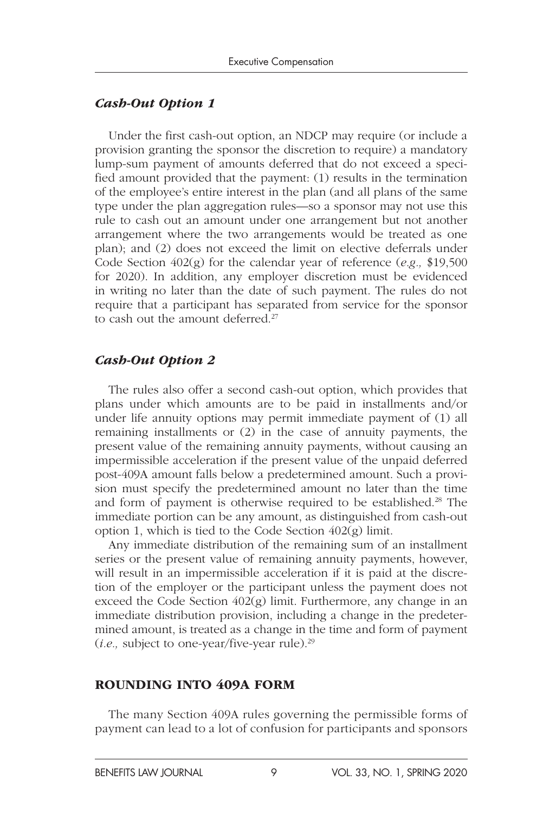#### *Cash-Out Option 1*

Under the first cash-out option, an NDCP may require (or include a provision granting the sponsor the discretion to require) a mandatory lump-sum payment of amounts deferred that do not exceed a specified amount provided that the payment: (1) results in the termination of the employee's entire interest in the plan (and all plans of the same type under the plan aggregation rules—so a sponsor may not use this rule to cash out an amount under one arrangement but not another arrangement where the two arrangements would be treated as one plan); and (2) does not exceed the limit on elective deferrals under Code Section 402(g) for the calendar year of reference (*e.g.,* \$19,500 for 2020). In addition, any employer discretion must be evidenced in writing no later than the date of such payment. The rules do not require that a participant has separated from service for the sponsor to cash out the amount deferred.<sup>27</sup>

#### *Cash-Out Option 2*

The rules also offer a second cash-out option, which provides that plans under which amounts are to be paid in installments and/or under life annuity options may permit immediate payment of (1) all remaining installments or (2) in the case of annuity payments, the present value of the remaining annuity payments, without causing an impermissible acceleration if the present value of the unpaid deferred post-409A amount falls below a predetermined amount. Such a provision must specify the predetermined amount no later than the time and form of payment is otherwise required to be established.<sup>28</sup> The immediate portion can be any amount, as distinguished from cash-out option 1, which is tied to the Code Section 402(g) limit.

Any immediate distribution of the remaining sum of an installment series or the present value of remaining annuity payments, however, will result in an impermissible acceleration if it is paid at the discretion of the employer or the participant unless the payment does not exceed the Code Section 402(g) limit. Furthermore, any change in an immediate distribution provision, including a change in the predetermined amount, is treated as a change in the time and form of payment (*i.e.,* subject to one-year/five-year rule).29

#### ROUNDING INTO 409A FORM

The many Section 409A rules governing the permissible forms of payment can lead to a lot of confusion for participants and sponsors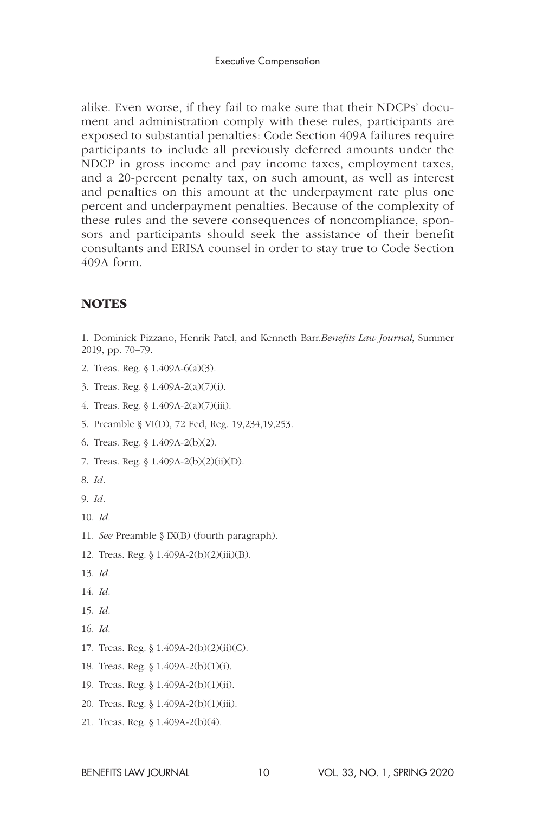alike. Even worse, if they fail to make sure that their NDCPs' document and administration comply with these rules, participants are exposed to substantial penalties: Code Section 409A failures require participants to include all previously deferred amounts under the NDCP in gross income and pay income taxes, employment taxes, and a 20-percent penalty tax, on such amount, as well as interest and penalties on this amount at the underpayment rate plus one percent and underpayment penalties. Because of the complexity of these rules and the severe consequences of noncompliance, sponsors and participants should seek the assistance of their benefit consultants and ERISA counsel in order to stay true to Code Section 409A form.

#### **NOTES**

1. Dominick Pizzano, Henrik Patel, and Kenneth Barr.*Benefits Law Journal,* Summer 2019, pp. 70–79.

- 2. Treas. Reg. § 1.409A-6(a)(3).
- 3. Treas. Reg. § 1.409A-2(a)(7)(i).
- 4. Treas. Reg. § 1.409A-2(a)(7)(iii).
- 5. Preamble § VI(D), 72 Fed, Reg. 19,234,19,253.
- 6. Treas. Reg. § 1.409A-2(b)(2).
- 7. Treas. Reg. § 1.409A-2(b)(2)(ii)(D).
- 8. *Id.*
- 9. *Id.*
- 10. *Id.*
- 11. *See* Preamble § IX(B) (fourth paragraph).
- 12. Treas. Reg. § 1.409A-2(b)(2)(iii)(B).
- 13. *Id.*
- 14. *Id.*
- 15. *Id.*
- 16. *Id.*
- 17. Treas. Reg. § 1.409A-2(b)(2)(ii)(C).
- 18. Treas. Reg. § 1.409A-2(b)(1)(i).
- 19. Treas. Reg. § 1.409A-2(b)(1)(ii).
- 20. Treas. Reg. § 1.409A-2(b)(1)(iii).
- 21. Treas. Reg. § 1.409A-2(b)(4).